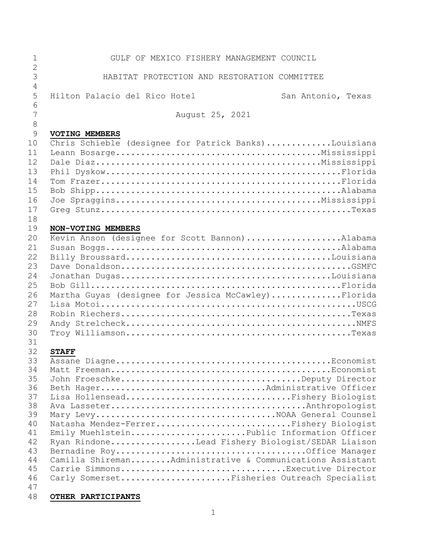| 1<br>$\overline{2}$ | GULF OF MEXICO FISHERY MANAGEMENT COUNCIL                 |
|---------------------|-----------------------------------------------------------|
| $\overline{3}$<br>4 | HABITAT PROTECTION AND RESTORATION COMMITTEE              |
| 5<br>6              | Hilton Palacio del Rico Hotel<br>San Antonio, Texas       |
| 7<br>8              | August 25, 2021                                           |
| $\mathcal{G}$       | <b>VOTING MEMBERS</b>                                     |
| 10                  | Chris Schieble (designee for Patrick Banks)Louisiana      |
| 11                  |                                                           |
| 12                  |                                                           |
| 13                  |                                                           |
| 14                  |                                                           |
| 15                  |                                                           |
| 16                  |                                                           |
| 17                  |                                                           |
| 18                  |                                                           |
| 19                  | NON-VOTING MEMBERS                                        |
| 20                  | Kevin Anson (designee for Scott Bannon)Alabama            |
| 21                  |                                                           |
| 22                  |                                                           |
| 23                  |                                                           |
| 24                  |                                                           |
| 25                  |                                                           |
| 26                  | Martha Guyas (designee for Jessica McCawley)Florida       |
| 27                  |                                                           |
| 28                  |                                                           |
| 29                  |                                                           |
| 30                  |                                                           |
| 31                  |                                                           |
| 32                  | <b>STAFF</b>                                              |
| 33                  |                                                           |
| 34                  |                                                           |
| 35                  | John FroeschkeDeputy Director                             |
| 36                  | Beth HagerAdministrative Officer                          |
| 37                  | Lisa HollenseadFishery Biologist                          |
| 38                  |                                                           |
| 39                  | Mary LevyNOAA General Counsel                             |
| 40                  | Natasha Mendez-FerrerFishery Biologist                    |
| 41                  | Emily MuehlsteinPublic Information Officer                |
| 42                  | Ryan RindoneLead Fishery Biologist/SEDAR Liaison          |
| 43                  |                                                           |
| 44                  | Camilla ShiremanAdministrative & Communications Assistant |
| 45                  | Carrie SimmonsExecutive Director                          |
| 46                  | Carly SomersetFisheries Outreach Specialist               |
| 47                  |                                                           |
| 48                  | OTHER PARTICIPANTS                                        |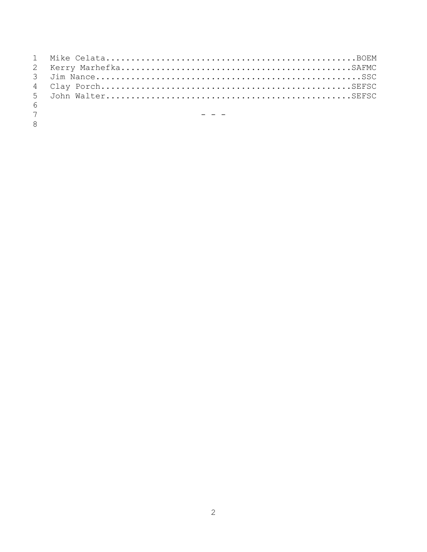| $6 \sqrt{25}$  |                                          |
|----------------|------------------------------------------|
| 7 <sup>7</sup> | <u> 대표 대표 대표 대표 대표 대표 대표 대표 대표 대표 대표</u> |
| 8 <sup>1</sup> |                                          |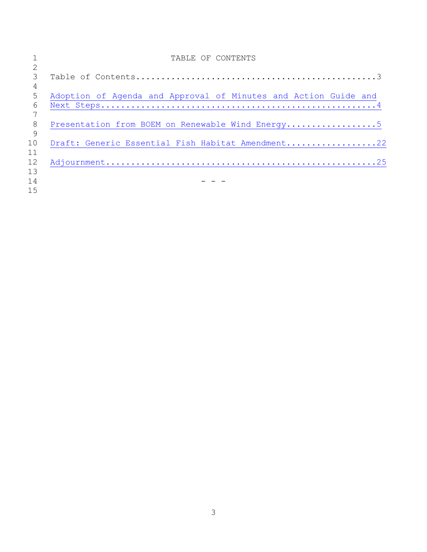|              | TABLE OF CONTENTS                                               |
|--------------|-----------------------------------------------------------------|
|              |                                                                 |
| 3            |                                                                 |
| 4            |                                                                 |
| 5            | Adoption of Agenda and Approval of Minutes and Action Guide and |
| 6            |                                                                 |
|              |                                                                 |
| 8            |                                                                 |
| $\mathsf{Q}$ |                                                                 |
| 10           | Draft: Generic Essential Fish Habitat Amendment22               |
| 11           |                                                                 |
| 12           |                                                                 |
| 13           |                                                                 |
| 14           |                                                                 |
| 15           |                                                                 |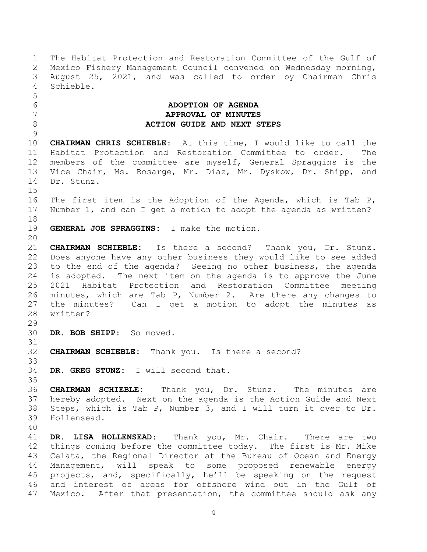<span id="page-3-0"></span> The Habitat Protection and Restoration Committee of the Gulf of Mexico Fishery Management Council convened on Wednesday morning, August 25, 2021, and was called to order by Chairman Chris Schieble. **ADOPTION OF AGENDA APPROVAL OF MINUTES ACTION GUIDE AND NEXT STEPS CHAIRMAN CHRIS SCHIEBLE:** At this time, I would like to call the Habitat Protection and Restoration Committee to order. The members of the committee are myself, General Spraggins is the Vice Chair, Ms. Bosarge, Mr. Diaz, Mr. Dyskow, Dr. Shipp, and Dr. Stunz. The first item is the Adoption of the Agenda, which is Tab P, Number 1, and can I get a motion to adopt the agenda as written? **GENERAL JOE SPRAGGINS:** I make the motion. **CHAIRMAN SCHIEBLE:** Is there a second? Thank you, Dr. Stunz. Does anyone have any other business they would like to see added to the end of the agenda? Seeing no other business, the agenda is adopted. The next item on the agenda is to approve the June 2021 Habitat Protection and Restoration Committee meeting minutes, which are Tab P, Number 2. Are there any changes to the minutes? Can I get a motion to adopt the minutes as written? **DR. BOB SHIPP:** So moved. **CHAIRMAN SCHIEBLE:** Thank you. Is there a second? **DR. GREG STUNZ:** I will second that. **CHAIRMAN SCHIEBLE:** Thank you, Dr. Stunz. The minutes are hereby adopted. Next on the agenda is the Action Guide and Next Steps, which is Tab P, Number 3, and I will turn it over to Dr. Hollensead. **DR. LISA HOLLENSEAD:** Thank you, Mr. Chair. There are two things coming before the committee today. The first is Mr. Mike Celata, the Regional Director at the Bureau of Ocean and Energy Management, will speak to some proposed renewable energy projects, and, specifically, he'll be speaking on the request and interest of areas for offshore wind out in the Gulf of Mexico. After that presentation, the committee should ask any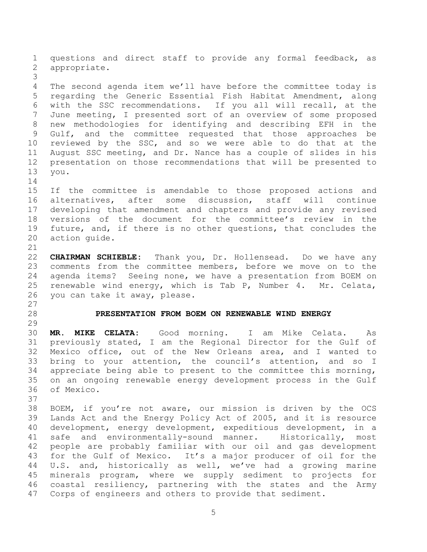<span id="page-4-0"></span> questions and direct staff to provide any formal feedback, as appropriate. The second agenda item we'll have before the committee today is regarding the Generic Essential Fish Habitat Amendment, along with the SSC recommendations. If you all will recall, at the June meeting, I presented sort of an overview of some proposed new methodologies for identifying and describing EFH in the Gulf, and the committee requested that those approaches be reviewed by the SSC, and so we were able to do that at the August SSC meeting, and Dr. Nance has a couple of slides in his presentation on those recommendations that will be presented to you. If the committee is amendable to those proposed actions and alternatives, after some discussion, staff will continue developing that amendment and chapters and provide any revised versions of the document for the committee's review in the future, and, if there is no other questions, that concludes the action guide. **CHAIRMAN SCHIEBLE:** Thank you, Dr. Hollensead. Do we have any comments from the committee members, before we move on to the agenda items? Seeing none, we have a presentation from BOEM on renewable wind energy, which is Tab P, Number 4. Mr. Celata, you can take it away, please. **PRESENTATION FROM BOEM ON RENEWABLE WIND ENERGY MR. MIKE CELATA:** Good morning. I am Mike Celata. As previously stated, I am the Regional Director for the Gulf of Mexico office, out of the New Orleans area, and I wanted to bring to your attention, the council's attention, and so I appreciate being able to present to the committee this morning, on an ongoing renewable energy development process in the Gulf of Mexico. BOEM, if you're not aware, our mission is driven by the OCS Lands Act and the Energy Policy Act of 2005, and it is resource development, energy development, expeditious development, in a safe and environmentally-sound manner. Historically, most people are probably familiar with our oil and gas development for the Gulf of Mexico. It's a major producer of oil for the U.S. and, historically as well, we've had a growing marine minerals program, where we supply sediment to projects for coastal resiliency, partnering with the states and the Army Corps of engineers and others to provide that sediment.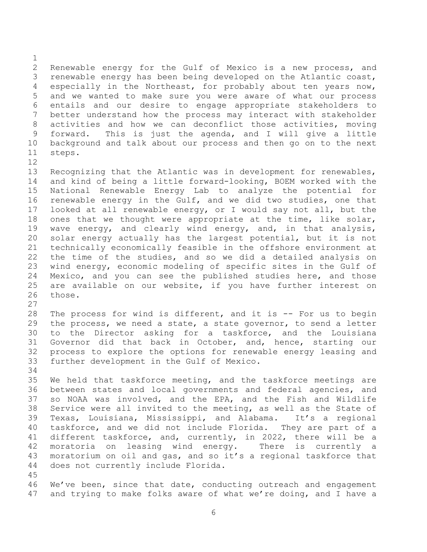Renewable energy for the Gulf of Mexico is a new process, and renewable energy has been being developed on the Atlantic coast, especially in the Northeast, for probably about ten years now, and we wanted to make sure you were aware of what our process entails and our desire to engage appropriate stakeholders to better understand how the process may interact with stakeholder activities and how we can deconflict those activities, moving forward. This is just the agenda, and I will give a little background and talk about our process and then go on to the next steps.

 Recognizing that the Atlantic was in development for renewables, and kind of being a little forward-looking, BOEM worked with the National Renewable Energy Lab to analyze the potential for renewable energy in the Gulf, and we did two studies, one that looked at all renewable energy, or I would say not all, but the ones that we thought were appropriate at the time, like solar, wave energy, and clearly wind energy, and, in that analysis, solar energy actually has the largest potential, but it is not technically economically feasible in the offshore environment at the time of the studies, and so we did a detailed analysis on wind energy, economic modeling of specific sites in the Gulf of Mexico, and you can see the published studies here, and those are available on our website, if you have further interest on those.

 The process for wind is different, and it is -- For us to begin the process, we need a state, a state governor, to send a letter to the Director asking for a taskforce, and the Louisiana Governor did that back in October, and, hence, starting our process to explore the options for renewable energy leasing and further development in the Gulf of Mexico.

 We held that taskforce meeting, and the taskforce meetings are between states and local governments and federal agencies, and so NOAA was involved, and the EPA, and the Fish and Wildlife Service were all invited to the meeting, as well as the State of Texas, Louisiana, Mississippi, and Alabama. It's a regional taskforce, and we did not include Florida. They are part of a different taskforce, and, currently, in 2022, there will be a moratoria on leasing wind energy. There is currently a moratorium on oil and gas, and so it's a regional taskforce that does not currently include Florida. 

 We've been, since that date, conducting outreach and engagement 47 and trying to make folks aware of what we're doing, and I have a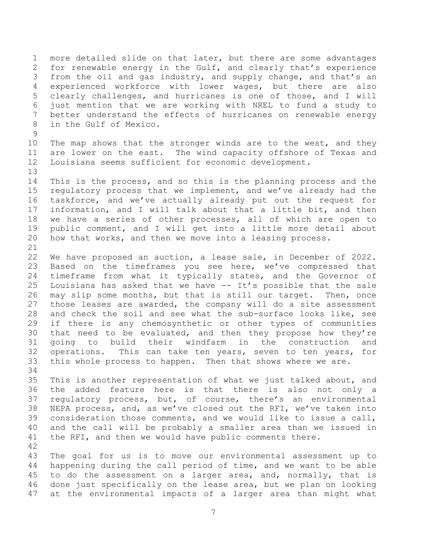more detailed slide on that later, but there are some advantages for renewable energy in the Gulf, and clearly that's experience from the oil and gas industry, and supply change, and that's an experienced workforce with lower wages, but there are also clearly challenges, and hurricanes is one of those, and I will just mention that we are working with NREL to fund a study to better understand the effects of hurricanes on renewable energy in the Gulf of Mexico.

 The map shows that the stronger winds are to the west, and they are lower on the east. The wind capacity offshore of Texas and Louisiana seems sufficient for economic development.

 This is the process, and so this is the planning process and the regulatory process that we implement, and we've already had the taskforce, and we've actually already put out the request for information, and I will talk about that a little bit, and then we have a series of other processes, all of which are open to public comment, and I will get into a little more detail about how that works, and then we move into a leasing process. 

 We have proposed an auction, a lease sale, in December of 2022. Based on the timeframes you see here, we've compressed that timeframe from what it typically states, and the Governor of 25 Louisiana has asked that we have  $--$  It's possible that the sale may slip some months, but that is still our target. Then, once those leases are awarded, the company will do a site assessment and check the soil and see what the sub-surface looks like, see if there is any chemosynthetic or other types of communities that need to be evaluated, and then they propose how they're going to build their windfarm in the construction and operations. This can take ten years, seven to ten years, for this whole process to happen. Then that shows where we are.

 This is another representation of what we just talked about, and the added feature here is that there is also not only a regulatory process, but, of course, there's an environmental NEPA process, and, as we've closed out the RFI, we've taken into consideration those comments, and we would like to issue a call, and the call will be probably a smaller area than we issued in 41 the RFI, and then we would have public comments there. 

 The goal for us is to move our environmental assessment up to happening during the call period of time, and we want to be able to do the assessment on a larger area, and, normally, that is done just specifically on the lease area, but we plan on looking at the environmental impacts of a larger area than might what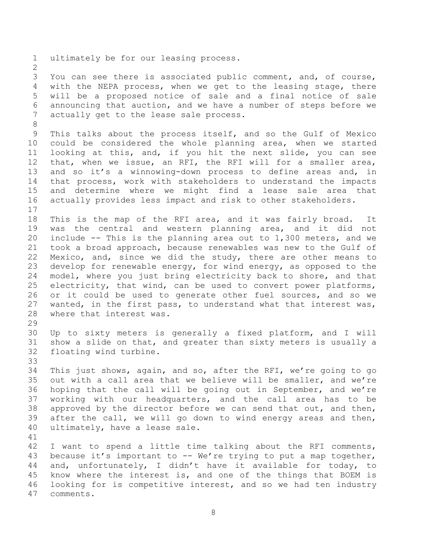ultimately be for our leasing process.

 You can see there is associated public comment, and, of course, with the NEPA process, when we get to the leasing stage, there will be a proposed notice of sale and a final notice of sale announcing that auction, and we have a number of steps before we actually get to the lease sale process.

 This talks about the process itself, and so the Gulf of Mexico could be considered the whole planning area, when we started looking at this, and, if you hit the next slide, you can see that, when we issue, an RFI, the RFI will for a smaller area, and so it's a winnowing-down process to define areas and, in that process, work with stakeholders to understand the impacts and determine where we might find a lease sale area that actually provides less impact and risk to other stakeholders. 

 This is the map of the RFI area, and it was fairly broad. It was the central and western planning area, and it did not include -- This is the planning area out to 1,300 meters, and we took a broad approach, because renewables was new to the Gulf of Mexico, and, since we did the study, there are other means to develop for renewable energy, for wind energy, as opposed to the model, where you just bring electricity back to shore, and that electricity, that wind, can be used to convert power platforms, or it could be used to generate other fuel sources, and so we wanted, in the first pass, to understand what that interest was, where that interest was.

 Up to sixty meters is generally a fixed platform, and I will show a slide on that, and greater than sixty meters is usually a floating wind turbine.

 This just shows, again, and so, after the RFI, we're going to go out with a call area that we believe will be smaller, and we're hoping that the call will be going out in September, and we're working with our headquarters, and the call area has to be approved by the director before we can send that out, and then, after the call, we will go down to wind energy areas and then, ultimately, have a lease sale.

 I want to spend a little time talking about the RFI comments, because it's important to -- We're trying to put a map together, and, unfortunately, I didn't have it available for today, to know where the interest is, and one of the things that BOEM is looking for is competitive interest, and so we had ten industry comments.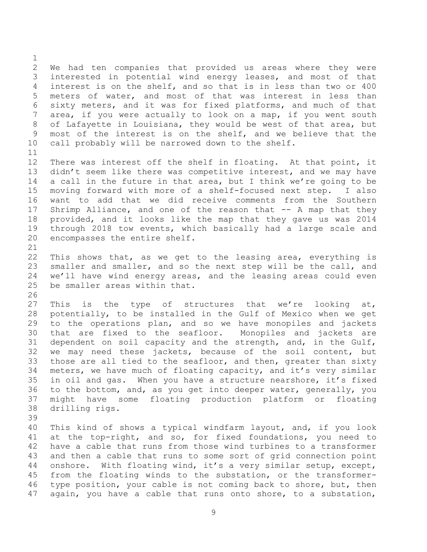We had ten companies that provided us areas where they were interested in potential wind energy leases, and most of that interest is on the shelf, and so that is in less than two or 400 meters of water, and most of that was interest in less than sixty meters, and it was for fixed platforms, and much of that area, if you were actually to look on a map, if you went south of Lafayette in Louisiana, they would be west of that area, but most of the interest is on the shelf, and we believe that the call probably will be narrowed down to the shelf. There was interest off the shelf in floating. At that point, it 13 didn't seem like there was competitive interest, and we may have a call in the future in that area, but I think we're going to be moving forward with more of a shelf-focused next step. I also want to add that we did receive comments from the Southern Shrimp Alliance, and one of the reason that -- A map that they provided, and it looks like the map that they gave us was 2014 through 2018 tow events, which basically had a large scale and encompasses the entire shelf. This shows that, as we get to the leasing area, everything is smaller and smaller, and so the next step will be the call, and we'll have wind energy areas, and the leasing areas could even be smaller areas within that. 27 This is the type of structures that we're looking at, potentially, to be installed in the Gulf of Mexico when we get to the operations plan, and so we have monopiles and jackets that are fixed to the seafloor. Monopiles and jackets are dependent on soil capacity and the strength, and, in the Gulf, we may need these jackets, because of the soil content, but those are all tied to the seafloor, and then, greater than sixty meters, we have much of floating capacity, and it's very similar in oil and gas. When you have a structure nearshore, it's fixed to the bottom, and, as you get into deeper water, generally, you might have some floating production platform or floating drilling rigs. This kind of shows a typical windfarm layout, and, if you look at the top-right, and so, for fixed foundations, you need to have a cable that runs from those wind turbines to a transformer and then a cable that runs to some sort of grid connection point onshore. With floating wind, it's a very similar setup, except, from the floating winds to the substation, or the transformer-

 type position, your cable is not coming back to shore, but, then again, you have a cable that runs onto shore, to a substation,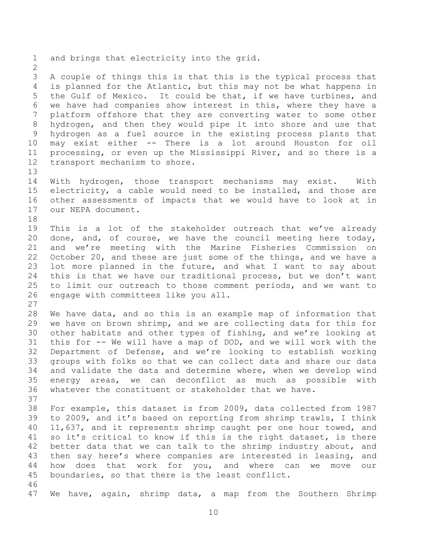and brings that electricity into the grid. A couple of things this is that this is the typical process that is planned for the Atlantic, but this may not be what happens in the Gulf of Mexico. It could be that, if we have turbines, and we have had companies show interest in this, where they have a platform offshore that they are converting water to some other hydrogen, and then they would pipe it into shore and use that hydrogen as a fuel source in the existing process plants that may exist either -- There is a lot around Houston for oil processing, or even up the Mississippi River, and so there is a transport mechanism to shore. With hydrogen, those transport mechanisms may exist. With electricity, a cable would need to be installed, and those are other assessments of impacts that we would have to look at in our NEPA document. This is a lot of the stakeholder outreach that we've already done, and, of course, we have the council meeting here today, and we're meeting with the Marine Fisheries Commission on October 20, and these are just some of the things, and we have a lot more planned in the future, and what I want to say about this is that we have our traditional process, but we don't want to limit our outreach to those comment periods, and we want to engage with committees like you all. We have data, and so this is an example map of information that we have on brown shrimp, and we are collecting data for this for other habitats and other types of fishing, and we're looking at this for -- We will have a map of DOD, and we will work with the Department of Defense, and we're looking to establish working groups with folks so that we can collect data and share our data and validate the data and determine where, when we develop wind energy areas, we can deconflict as much as possible with whatever the constituent or stakeholder that we have. For example, this dataset is from 2009, data collected from 1987 to 2009, and it's based on reporting from shrimp trawls, I think 11,637, and it represents shrimp caught per one hour towed, and so it's critical to know if this is the right dataset, is there better data that we can talk to the shrimp industry about, and then say here's where companies are interested in leasing, and how does that work for you, and where can we move our boundaries, so that there is the least conflict. We have, again, shrimp data, a map from the Southern Shrimp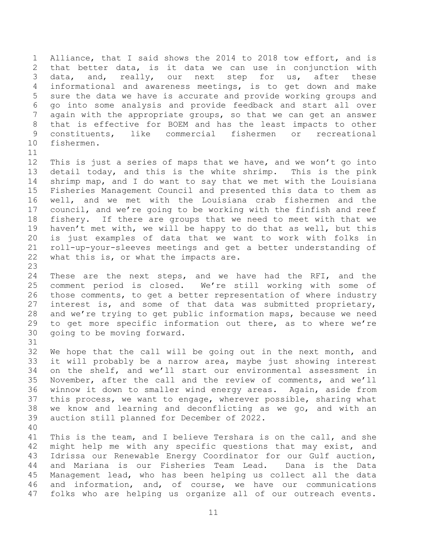Alliance, that I said shows the 2014 to 2018 tow effort, and is that better data, is it data we can use in conjunction with data, and, really, our next step for us, after these informational and awareness meetings, is to get down and make sure the data we have is accurate and provide working groups and go into some analysis and provide feedback and start all over again with the appropriate groups, so that we can get an answer that is effective for BOEM and has the least impacts to other constituents, like commercial fishermen or recreational fishermen.

 This is just a series of maps that we have, and we won't go into detail today, and this is the white shrimp. This is the pink shrimp map, and I do want to say that we met with the Louisiana Fisheries Management Council and presented this data to them as well, and we met with the Louisiana crab fishermen and the council, and we're going to be working with the finfish and reef fishery. If there are groups that we need to meet with that we haven't met with, we will be happy to do that as well, but this is just examples of data that we want to work with folks in roll-up-your-sleeves meetings and get a better understanding of 22 what this is, or what the impacts are.

 These are the next steps, and we have had the RFI, and the comment period is closed. We're still working with some of those comments, to get a better representation of where industry interest is, and some of that data was submitted proprietary, and we're trying to get public information maps, because we need to get more specific information out there, as to where we're going to be moving forward. 

 We hope that the call will be going out in the next month, and it will probably be a narrow area, maybe just showing interest on the shelf, and we'll start our environmental assessment in November, after the call and the review of comments, and we'll winnow it down to smaller wind energy areas. Again, aside from this process, we want to engage, wherever possible, sharing what we know and learning and deconflicting as we go, and with an auction still planned for December of 2022. 

41 This is the team, and I believe Tershara is on the call, and she might help me with any specific questions that may exist, and Idrissa our Renewable Energy Coordinator for our Gulf auction, and Mariana is our Fisheries Team Lead. Dana is the Data Management lead, who has been helping us collect all the data and information, and, of course, we have our communications folks who are helping us organize all of our outreach events.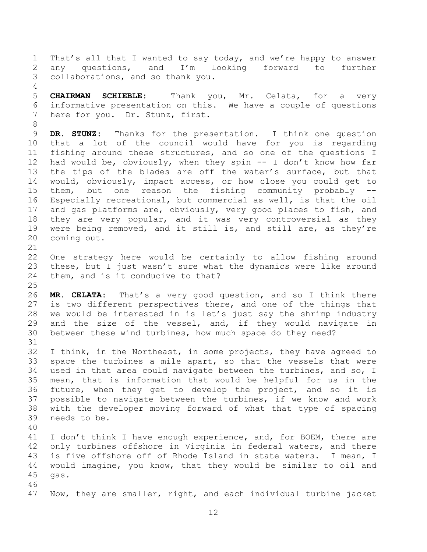That's all that I wanted to say today, and we're happy to answer any questions, and I'm looking forward to further collaborations, and so thank you.

 **CHAIRMAN SCHIEBLE:** Thank you, Mr. Celata, for a very informative presentation on this. We have a couple of questions here for you. Dr. Stunz, first.

 **DR. STUNZ:** Thanks for the presentation. I think one question that a lot of the council would have for you is regarding fishing around these structures, and so one of the questions I had would be, obviously, when they spin -- I don't know how far the tips of the blades are off the water's surface, but that would, obviously, impact access, or how close you could get to them, but one reason the fishing community probably -- Especially recreational, but commercial as well, is that the oil and gas platforms are, obviously, very good places to fish, and they are very popular, and it was very controversial as they were being removed, and it still is, and still are, as they're coming out.

 One strategy here would be certainly to allow fishing around these, but I just wasn't sure what the dynamics were like around them, and is it conducive to that?

 **MR. CELATA:** That's a very good question, and so I think there is two different perspectives there, and one of the things that we would be interested in is let's just say the shrimp industry 29 and the size of the vessel, and, if they would navigate in between these wind turbines, how much space do they need?

 I think, in the Northeast, in some projects, they have agreed to space the turbines a mile apart, so that the vessels that were used in that area could navigate between the turbines, and so, I mean, that is information that would be helpful for us in the future, when they get to develop the project, and so it is possible to navigate between the turbines, if we know and work with the developer moving forward of what that type of spacing needs to be.

 41 I don't think I have enough experience, and, for BOEM, there are only turbines offshore in Virginia in federal waters, and there is five offshore off of Rhode Island in state waters. I mean, I would imagine, you know, that they would be similar to oil and gas. 

Now, they are smaller, right, and each individual turbine jacket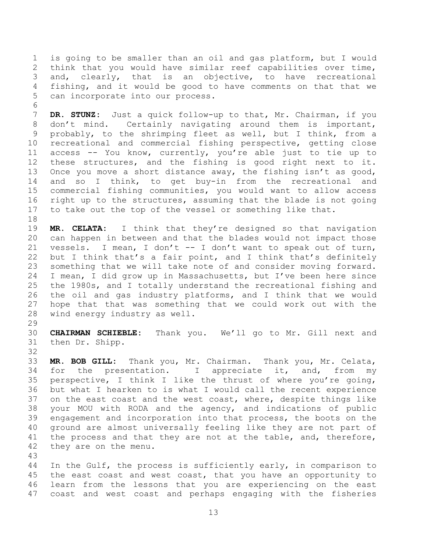is going to be smaller than an oil and gas platform, but I would think that you would have similar reef capabilities over time, and, clearly, that is an objective, to have recreational fishing, and it would be good to have comments on that that we can incorporate into our process.

 **DR. STUNZ:** Just a quick follow-up to that, Mr. Chairman, if you don't mind. Certainly navigating around them is important, probably, to the shrimping fleet as well, but I think, from a recreational and commercial fishing perspective, getting close access -- You know, currently, you're able just to tie up to these structures, and the fishing is good right next to it. Once you move a short distance away, the fishing isn't as good, and so I think, to get buy-in from the recreational and commercial fishing communities, you would want to allow access right up to the structures, assuming that the blade is not going to take out the top of the vessel or something like that.

 **MR. CELATA:** I think that they're designed so that navigation can happen in between and that the blades would not impact those vessels. I mean, I don't -- I don't want to speak out of turn, but I think that's a fair point, and I think that's definitely something that we will take note of and consider moving forward. I mean, I did grow up in Massachusetts, but I've been here since the 1980s, and I totally understand the recreational fishing and the oil and gas industry platforms, and I think that we would hope that that was something that we could work out with the wind energy industry as well.

 **CHAIRMAN SCHIEBLE:** Thank you. We'll go to Mr. Gill next and then Dr. Shipp.

 **MR. BOB GILL:** Thank you, Mr. Chairman. Thank you, Mr. Celata, for the presentation. I appreciate it, and, from my perspective, I think I like the thrust of where you're going, but what I hearken to is what I would call the recent experience on the east coast and the west coast, where, despite things like your MOU with RODA and the agency, and indications of public engagement and incorporation into that process, the boots on the ground are almost universally feeling like they are not part of 41 the process and that they are not at the table, and, therefore, they are on the menu.

 In the Gulf, the process is sufficiently early, in comparison to the east coast and west coast, that you have an opportunity to learn from the lessons that you are experiencing on the east coast and west coast and perhaps engaging with the fisheries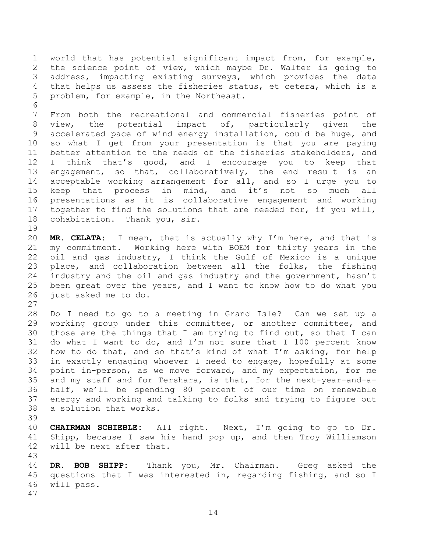world that has potential significant impact from, for example, the science point of view, which maybe Dr. Walter is going to address, impacting existing surveys, which provides the data that helps us assess the fisheries status, et cetera, which is a problem, for example, in the Northeast.

 From both the recreational and commercial fisheries point of view, the potential impact of, particularly given the accelerated pace of wind energy installation, could be huge, and so what I get from your presentation is that you are paying better attention to the needs of the fisheries stakeholders, and I think that's good, and I encourage you to keep that engagement, so that, collaboratively, the end result is an acceptable working arrangement for all, and so I urge you to keep that process in mind, and it's not so much all presentations as it is collaborative engagement and working together to find the solutions that are needed for, if you will, cohabitation. Thank you, sir.

 **MR. CELATA:** I mean, that is actually why I'm here, and that is my commitment. Working here with BOEM for thirty years in the oil and gas industry, I think the Gulf of Mexico is a unique 23 place, and collaboration between all the folks, the fishing industry and the oil and gas industry and the government, hasn't been great over the years, and I want to know how to do what you just asked me to do.

 Do I need to go to a meeting in Grand Isle? Can we set up a working group under this committee, or another committee, and those are the things that I am trying to find out, so that I can do what I want to do, and I'm not sure that I 100 percent know how to do that, and so that's kind of what I'm asking, for help in exactly engaging whoever I need to engage, hopefully at some point in-person, as we move forward, and my expectation, for me and my staff and for Tershara, is that, for the next-year-and-a- half, we'll be spending 80 percent of our time on renewable energy and working and talking to folks and trying to figure out a solution that works. 

 **CHAIRMAN SCHIEBLE:** All right. Next, I'm going to go to Dr. Shipp, because I saw his hand pop up, and then Troy Williamson will be next after that.

 **DR. BOB SHIPP:** Thank you, Mr. Chairman. Greg asked the questions that I was interested in, regarding fishing, and so I will pass.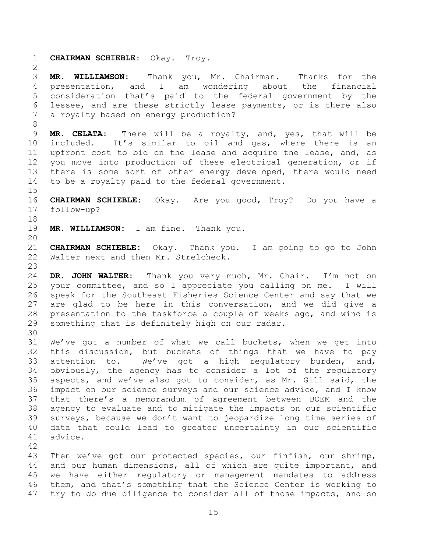**CHAIRMAN SCHIEBLE:** Okay. Troy. **MR. WILLIAMSON:** Thank you, Mr. Chairman. Thanks for the presentation, and I am wondering about the financial consideration that's paid to the federal government by the lessee, and are these strictly lease payments, or is there also a royalty based on energy production? **MR. CELATA:** There will be a royalty, and, yes, that will be included. It's similar to oil and gas, where there is an upfront cost to bid on the lease and acquire the lease, and, as you move into production of these electrical generation, or if there is some sort of other energy developed, there would need to be a royalty paid to the federal government. **CHAIRMAN SCHIEBLE:** Okay. Are you good, Troy? Do you have a follow-up? **MR. WILLIAMSON:** I am fine. Thank you. **CHAIRMAN SCHIEBLE:** Okay. Thank you. I am going to go to John Walter next and then Mr. Strelcheck. **DR. JOHN WALTER:** Thank you very much, Mr. Chair. I'm not on your committee, and so I appreciate you calling on me. I will speak for the Southeast Fisheries Science Center and say that we are glad to be here in this conversation, and we did give a presentation to the taskforce a couple of weeks ago, and wind is something that is definitely high on our radar. We've got a number of what we call buckets, when we get into this discussion, but buckets of things that we have to pay attention to. We've got a high regulatory burden, and, obviously, the agency has to consider a lot of the regulatory aspects, and we've also got to consider, as Mr. Gill said, the impact on our science surveys and our science advice, and I know that there's a memorandum of agreement between BOEM and the agency to evaluate and to mitigate the impacts on our scientific surveys, because we don't want to jeopardize long time series of data that could lead to greater uncertainty in our scientific advice. 

 Then we've got our protected species, our finfish, our shrimp, and our human dimensions, all of which are quite important, and we have either regulatory or management mandates to address them, and that's something that the Science Center is working to try to do due diligence to consider all of those impacts, and so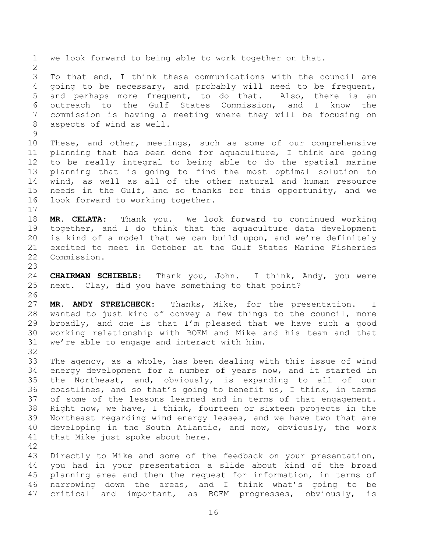we look forward to being able to work together on that. To that end, I think these communications with the council are going to be necessary, and probably will need to be frequent, and perhaps more frequent, to do that. Also, there is an outreach to the Gulf States Commission, and I know the commission is having a meeting where they will be focusing on aspects of wind as well. These, and other, meetings, such as some of our comprehensive planning that has been done for aquaculture, I think are going to be really integral to being able to do the spatial marine planning that is going to find the most optimal solution to wind, as well as all of the other natural and human resource needs in the Gulf, and so thanks for this opportunity, and we look forward to working together. **MR. CELATA:** Thank you. We look forward to continued working together, and I do think that the aquaculture data development is kind of a model that we can build upon, and we're definitely excited to meet in October at the Gulf States Marine Fisheries Commission. **CHAIRMAN SCHIEBLE:** Thank you, John. I think, Andy, you were next. Clay, did you have something to that point? **MR. ANDY STRELCHECK:** Thanks, Mike, for the presentation. I wanted to just kind of convey a few things to the council, more broadly, and one is that I'm pleased that we have such a good working relationship with BOEM and Mike and his team and that we're able to engage and interact with him. The agency, as a whole, has been dealing with this issue of wind energy development for a number of years now, and it started in the Northeast, and, obviously, is expanding to all of our coastlines, and so that's going to benefit us, I think, in terms of some of the lessons learned and in terms of that engagement. Right now, we have, I think, fourteen or sixteen projects in the Northeast regarding wind energy leases, and we have two that are developing in the South Atlantic, and now, obviously, the work that Mike just spoke about here. Directly to Mike and some of the feedback on your presentation, you had in your presentation a slide about kind of the broad planning area and then the request for information, in terms of narrowing down the areas, and I think what's going to be critical and important, as BOEM progresses, obviously, is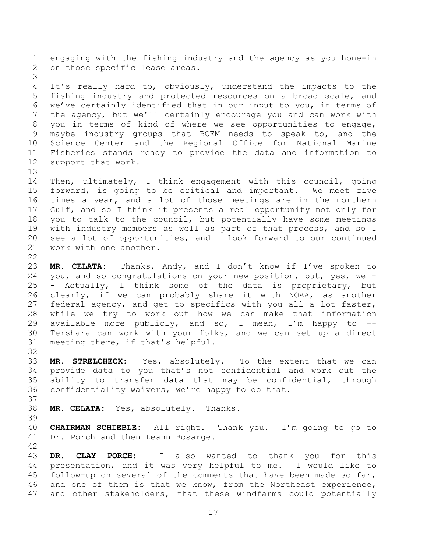engaging with the fishing industry and the agency as you hone-in on those specific lease areas. It's really hard to, obviously, understand the impacts to the fishing industry and protected resources on a broad scale, and we've certainly identified that in our input to you, in terms of the agency, but we'll certainly encourage you and can work with you in terms of kind of where we see opportunities to engage, maybe industry groups that BOEM needs to speak to, and the Science Center and the Regional Office for National Marine Fisheries stands ready to provide the data and information to support that work. Then, ultimately, I think engagement with this council, going forward, is going to be critical and important. We meet five times a year, and a lot of those meetings are in the northern Gulf, and so I think it presents a real opportunity not only for you to talk to the council, but potentially have some meetings with industry members as well as part of that process, and so I see a lot of opportunities, and I look forward to our continued work with one another. **MR. CELATA:** Thanks, Andy, and I don't know if I've spoken to you, and so congratulations on your new position, but, yes, we - - Actually, I think some of the data is proprietary, but clearly, if we can probably share it with NOAA, as another federal agency, and get to specifics with you all a lot faster, while we try to work out how we can make that information 29 available more publicly, and so, I mean, I'm happy to  $-$  Tershara can work with your folks, and we can set up a direct meeting there, if that's helpful. **MR. STRELCHECK:** Yes, absolutely. To the extent that we can provide data to you that's not confidential and work out the ability to transfer data that may be confidential, through confidentiality waivers, we're happy to do that. **MR. CELATA:** Yes, absolutely. Thanks. **CHAIRMAN SCHIEBLE:** All right. Thank you. I'm going to go to Dr. Porch and then Leann Bosarge. 

 **DR. CLAY PORCH:** I also wanted to thank you for this presentation, and it was very helpful to me. I would like to follow-up on several of the comments that have been made so far, and one of them is that we know, from the Northeast experience, and other stakeholders, that these windfarms could potentially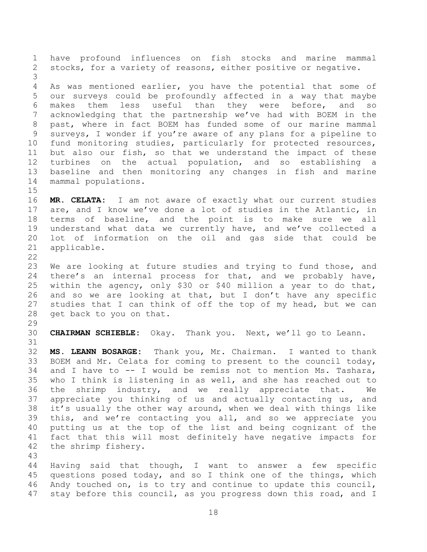have profound influences on fish stocks and marine mammal stocks, for a variety of reasons, either positive or negative. As was mentioned earlier, you have the potential that some of our surveys could be profoundly affected in a way that maybe makes them less useful than they were before, and so acknowledging that the partnership we've had with BOEM in the past, where in fact BOEM has funded some of our marine mammal surveys, I wonder if you're aware of any plans for a pipeline to fund monitoring studies, particularly for protected resources, but also our fish, so that we understand the impact of these turbines on the actual population, and so establishing a baseline and then monitoring any changes in fish and marine mammal populations. **MR. CELATA:** I am not aware of exactly what our current studies are, and I know we've done a lot of studies in the Atlantic, in terms of baseline, and the point is to make sure we all understand what data we currently have, and we've collected a lot of information on the oil and gas side that could be applicable. We are looking at future studies and trying to fund those, and there's an internal process for that, and we probably have, within the agency, only \$30 or \$40 million a year to do that, and so we are looking at that, but I don't have any specific studies that I can think of off the top of my head, but we can get back to you on that. **CHAIRMAN SCHIEBLE:** Okay. Thank you. Next, we'll go to Leann. **MS. LEANN BOSARGE:** Thank you, Mr. Chairman. I wanted to thank BOEM and Mr. Celata for coming to present to the council today, and I have to -- I would be remiss not to mention Ms. Tashara, who I think is listening in as well, and she has reached out to the shrimp industry, and we really appreciate that. We appreciate you thinking of us and actually contacting us, and it's usually the other way around, when we deal with things like this, and we're contacting you all, and so we appreciate you putting us at the top of the list and being cognizant of the fact that this will most definitely have negative impacts for the shrimp fishery. 

 Having said that though, I want to answer a few specific questions posed today, and so I think one of the things, which Andy touched on, is to try and continue to update this council, stay before this council, as you progress down this road, and I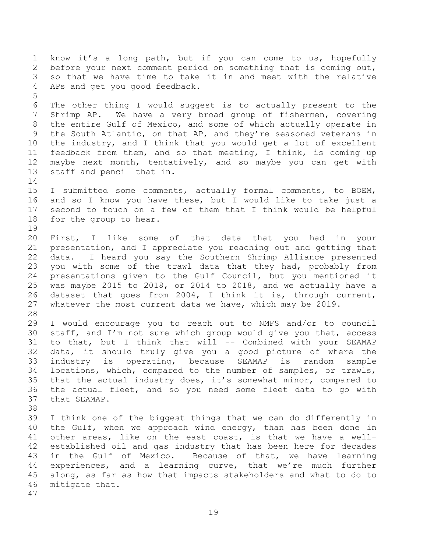know it's a long path, but if you can come to us, hopefully before your next comment period on something that is coming out, so that we have time to take it in and meet with the relative APs and get you good feedback. The other thing I would suggest is to actually present to the Shrimp AP. We have a very broad group of fishermen, covering the entire Gulf of Mexico, and some of which actually operate in the South Atlantic, on that AP, and they're seasoned veterans in the industry, and I think that you would get a lot of excellent feedback from them, and so that meeting, I think, is coming up maybe next month, tentatively, and so maybe you can get with staff and pencil that in. I submitted some comments, actually formal comments, to BOEM, and so I know you have these, but I would like to take just a second to touch on a few of them that I think would be helpful for the group to hear. First, I like some of that data that you had in your presentation, and I appreciate you reaching out and getting that data. I heard you say the Southern Shrimp Alliance presented you with some of the trawl data that they had, probably from presentations given to the Gulf Council, but you mentioned it was maybe 2015 to 2018, or 2014 to 2018, and we actually have a dataset that goes from 2004, I think it is, through current, whatever the most current data we have, which may be 2019. I would encourage you to reach out to NMFS and/or to council staff, and I'm not sure which group would give you that, access to that, but I think that will -- Combined with your SEAMAP data, it should truly give you a good picture of where the industry is operating, because SEAMAP is random sample locations, which, compared to the number of samples, or trawls, that the actual industry does, it's somewhat minor, compared to the actual fleet, and so you need some fleet data to go with that SEAMAP. I think one of the biggest things that we can do differently in 40 the Gulf, when we approach wind energy, than has been done in other areas, like on the east coast, is that we have a well- established oil and gas industry that has been here for decades in the Gulf of Mexico. Because of that, we have learning experiences, and a learning curve, that we're much further along, as far as how that impacts stakeholders and what to do to mitigate that.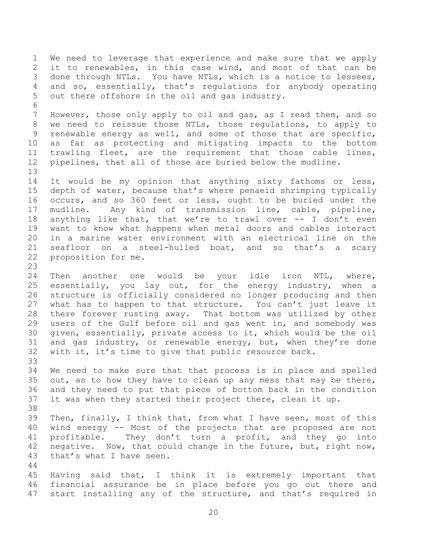We need to leverage that experience and make sure that we apply it to renewables, in this case wind, and most of that can be done through NTLs. You have NTLs, which is a notice to lessees, and so, essentially, that's regulations for anybody operating out there offshore in the oil and gas industry. However, those only apply to oil and gas, as I read them, and so we need to reissue those NTLs, those regulations, to apply to renewable energy as well, and some of those that are specific, as far as protecting and mitigating impacts to the bottom trawling fleet, are the requirement that those cable lines, pipelines, that all of those are buried below the mudline. 14 It would be my opinion that anything sixty fathoms or less, depth of water, because that's where penaeid shrimping typically occurs, and so 360 feet or less, ought to be buried under the mudline. Any kind of transmission line, cable, pipeline, anything like that, that we're to trawl over -- I don't even want to know what happens when metal doors and cables interact in a marine water environment with an electrical line on the seafloor on a steel-hulled boat, and so that's a scary proposition for me. Then another one would be your idle iron NTL, where, essentially, you lay out, for the energy industry, when a structure is officially considered no longer producing and then what has to happen to that structure. You can't just leave it there forever rusting away. That bottom was utilized by other users of the Gulf before oil and gas went in, and somebody was given, essentially, private access to it, which would be the oil and gas industry, or renewable energy, but, when they're done with it, it's time to give that public resource back. We need to make sure that that process is in place and spelled 35 out, as to how they have to clean up any mess that may be there, and they need to put that piece of bottom back in the condition it was when they started their project there, clean it up. Then, finally, I think that, from what I have seen, most of this wind energy -- Most of the projects that are proposed are not profitable. They don't turn a profit, and they go into negative. Now, that could change in the future, but, right now, that's what I have seen. Having said that, I think it is extremely important that financial assurance be in place before you go out there and start installing any of the structure, and that's required in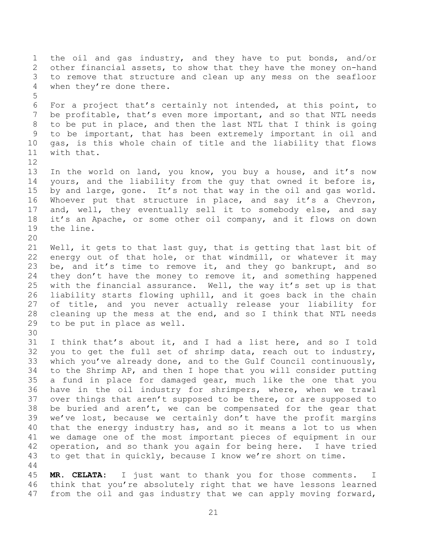the oil and gas industry, and they have to put bonds, and/or other financial assets, to show that they have the money on-hand to remove that structure and clean up any mess on the seafloor when they're done there. For a project that's certainly not intended, at this point, to be profitable, that's even more important, and so that NTL needs to be put in place, and then the last NTL that I think is going to be important, that has been extremely important in oil and gas, is this whole chain of title and the liability that flows with that. In the world on land, you know, you buy a house, and it's now yours, and the liability from the guy that owned it before is, by and large, gone. It's not that way in the oil and gas world. Whoever put that structure in place, and say it's a Chevron, and, well, they eventually sell it to somebody else, and say it's an Apache, or some other oil company, and it flows on down the line. Well, it gets to that last guy, that is getting that last bit of energy out of that hole, or that windmill, or whatever it may be, and it's time to remove it, and they go bankrupt, and so 24 they don't have the money to remove it, and something happened with the financial assurance. Well, the way it's set up is that liability starts flowing uphill, and it goes back in the chain of title, and you never actually release your liability for cleaning up the mess at the end, and so I think that NTL needs to be put in place as well. I think that's about it, and I had a list here, and so I told you to get the full set of shrimp data, reach out to industry, which you've already done, and to the Gulf Council continuously, to the Shrimp AP, and then I hope that you will consider putting a fund in place for damaged gear, much like the one that you have in the oil industry for shrimpers, where, when we trawl over things that aren't supposed to be there, or are supposed to be buried and aren't, we can be compensated for the gear that we've lost, because we certainly don't have the profit margins that the energy industry has, and so it means a lot to us when we damage one of the most important pieces of equipment in our operation, and so thank you again for being here. I have tried to get that in quickly, because I know we're short on time. **MR. CELATA:** I just want to thank you for those comments. I think that you're absolutely right that we have lessons learned from the oil and gas industry that we can apply moving forward,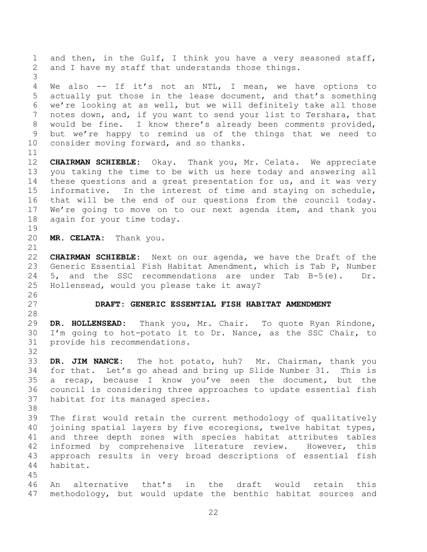<span id="page-21-0"></span> and then, in the Gulf, I think you have a very seasoned staff, and I have my staff that understands those things. We also -- If it's not an NTL, I mean, we have options to actually put those in the lease document, and that's something we're looking at as well, but we will definitely take all those notes down, and, if you want to send your list to Tershara, that would be fine. I know there's already been comments provided, but we're happy to remind us of the things that we need to consider moving forward, and so thanks. **CHAIRMAN SCHIEBLE:** Okay. Thank you, Mr. Celata. We appreciate you taking the time to be with us here today and answering all 14 these questions and a great presentation for us, and it was very informative. In the interest of time and staying on schedule, that will be the end of our questions from the council today. We're going to move on to our next agenda item, and thank you again for your time today. **MR. CELATA:** Thank you. **CHAIRMAN SCHIEBLE:** Next on our agenda, we have the Draft of the Generic Essential Fish Habitat Amendment, which is Tab P, Number 5, and the SSC recommendations are under Tab B-5(e). Dr. Hollensead, would you please take it away? **DRAFT: GENERIC ESSENTIAL FISH HABITAT AMENDMENT DR. HOLLENSEAD:** Thank you, Mr. Chair. To quote Ryan Rindone, I'm going to hot-potato it to Dr. Nance, as the SSC Chair, to provide his recommendations. **DR. JIM NANCE:** The hot potato, huh? Mr. Chairman, thank you for that. Let's go ahead and bring up Slide Number 31. This is a recap, because I know you've seen the document, but the council is considering three approaches to update essential fish habitat for its managed species. The first would retain the current methodology of qualitatively joining spatial layers by five ecoregions, twelve habitat types, and three depth zones with species habitat attributes tables informed by comprehensive literature review. However, this approach results in very broad descriptions of essential fish habitat. An alternative that's in the draft would retain this methodology, but would update the benthic habitat sources and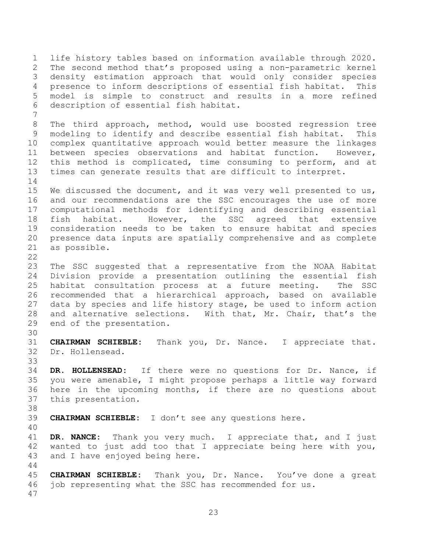life history tables based on information available through 2020. The second method that's proposed using a non-parametric kernel density estimation approach that would only consider species presence to inform descriptions of essential fish habitat. This model is simple to construct and results in a more refined description of essential fish habitat. The third approach, method, would use boosted regression tree modeling to identify and describe essential fish habitat. This complex quantitative approach would better measure the linkages between species observations and habitat function. However, this method is complicated, time consuming to perform, and at times can generate results that are difficult to interpret. We discussed the document, and it was very well presented to us, and our recommendations are the SSC encourages the use of more computational methods for identifying and describing essential fish habitat. However, the SSC agreed that extensive consideration needs to be taken to ensure habitat and species presence data inputs are spatially comprehensive and as complete as possible. The SSC suggested that a representative from the NOAA Habitat Division provide a presentation outlining the essential fish habitat consultation process at a future meeting. The SSC recommended that a hierarchical approach, based on available data by species and life history stage, be used to inform action and alternative selections. With that, Mr. Chair, that's the end of the presentation. **CHAIRMAN SCHIEBLE:** Thank you, Dr. Nance. I appreciate that. Dr. Hollensead. **DR. HOLLENSEAD:** If there were no questions for Dr. Nance, if you were amenable, I might propose perhaps a little way forward here in the upcoming months, if there are no questions about this presentation. **CHAIRMAN SCHIEBLE:** I don't see any questions here. **DR. NANCE:** Thank you very much. I appreciate that, and I just wanted to just add too that I appreciate being here with you, and I have enjoyed being here. **CHAIRMAN SCHIEBLE:** Thank you, Dr. Nance. You've done a great job representing what the SSC has recommended for us.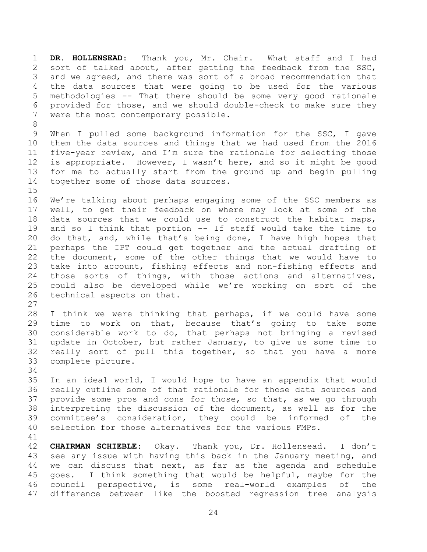**DR. HOLLENSEAD:** Thank you, Mr. Chair. What staff and I had sort of talked about, after getting the feedback from the SSC, and we agreed, and there was sort of a broad recommendation that the data sources that were going to be used for the various methodologies -- That there should be some very good rationale provided for those, and we should double-check to make sure they were the most contemporary possible.

 When I pulled some background information for the SSC, I gave them the data sources and things that we had used from the 2016 five-year review, and I'm sure the rationale for selecting those is appropriate. However, I wasn't here, and so it might be good for me to actually start from the ground up and begin pulling together some of those data sources.

 We're talking about perhaps engaging some of the SSC members as well, to get their feedback on where may look at some of the data sources that we could use to construct the habitat maps, and so I think that portion -- If staff would take the time to do that, and, while that's being done, I have high hopes that perhaps the IPT could get together and the actual drafting of the document, some of the other things that we would have to take into account, fishing effects and non-fishing effects and those sorts of things, with those actions and alternatives, could also be developed while we're working on sort of the technical aspects on that.

 I think we were thinking that perhaps, if we could have some time to work on that, because that's going to take some considerable work to do, that perhaps not bringing a revised update in October, but rather January, to give us some time to really sort of pull this together, so that you have a more complete picture. 

 In an ideal world, I would hope to have an appendix that would really outline some of that rationale for those data sources and provide some pros and cons for those, so that, as we go through interpreting the discussion of the document, as well as for the committee's consideration, they could be informed of the selection for those alternatives for the various FMPs.

 **CHAIRMAN SCHIEBLE:** Okay. Thank you, Dr. Hollensead. I don't see any issue with having this back in the January meeting, and we can discuss that next, as far as the agenda and schedule goes. I think something that would be helpful, maybe for the council perspective, is some real-world examples of the difference between like the boosted regression tree analysis